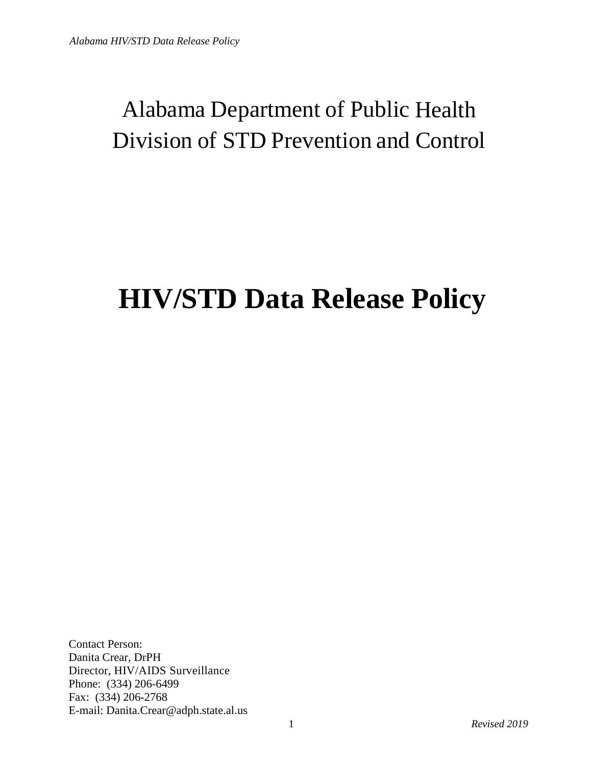## Alabama Department of Public Health Division of STD Prevention and Control

## **HIV/STD Data Release Policy**

Contact Person: Danita Crear, DrPH Director, HIV/AIDS Surveillance Phone: (334) 206-6499 Fax: (334) 206-2768 E-mail: Danita.Crear@adph.state.al.us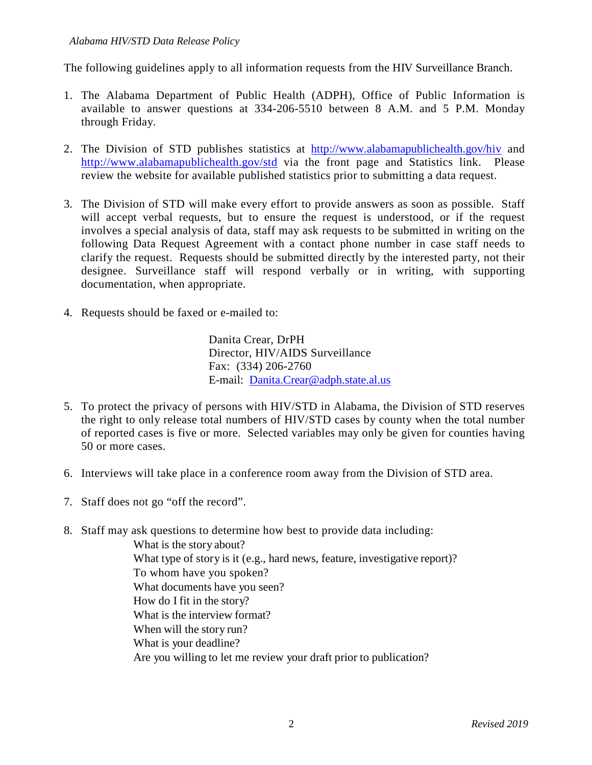The following guidelines apply to all information requests from the HIV Surveillance Branch.

- 1. The Alabama Department of Public Health (ADPH), Office of Public Information is available to answer questions at 334-206-5510 between 8 A.M. and 5 P.M. Monday through Friday.
- 2. The Division of STD publishes statistics at <http://www.alabamapublichealth.gov/hiv> and <http://www.alabamapublichealth.gov/std> via the front page and Statistics link. Please review the website for available published statistics prior to submitting a data request.
- 3. The Division of STD will make every effort to provide answers as soon as possible. Staff will accept verbal requests, but to ensure the request is understood, or if the request involves a special analysis of data, staff may ask requests to be submitted in writing on the following Data Request Agreement with a contact phone number in case staff needs to clarify the request. Requests should be submitted directly by the interested party, not their designee. Surveillance staff will respond verbally or in writing, with supporting documentation, when appropriate.
- 4. Requests should be faxed or e-mailed to:

Danita Crear, DrPH Director, HIV/AIDS Surveillance Fax: (334) 206-2760 E-mail: [Danita.Crear@adph.state.al.us](mailto:Danita.Crear@adph.state.al.us)

- 5. To protect the privacy of persons with HIV/STD in Alabama, the Division of STD reserves the right to only release total numbers of HIV/STD cases by county when the total number of reported cases is five or more. Selected variables may only be given for counties having 50 or more cases.
- 6. Interviews will take place in a conference room away from the Division of STD area.
- 7. Staff does not go "off the record".
- 8. Staff may ask questions to determine how best to provide data including:

What is the story about? What type of story is it (e.g., hard news, feature, investigative report)? To whom have you spoken? What documents have you seen? How do I fit in the story? What is the interview format? When will the story run? What is your deadline? Are you willing to let me review your draft prior to publication?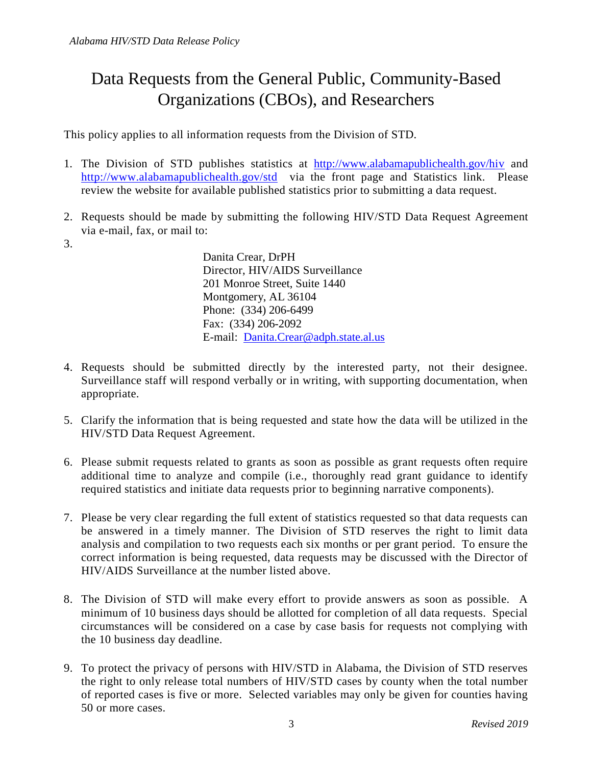## Data Requests from the General Public, Community-Based Organizations (CBOs), and Researchers

This policy applies to all information requests from the Division of STD.

- 1. The Division of STD publishes statistics at <http://www.alabamapublichealth.gov/hiv> and <http://www.alabamapublichealth.gov/std> via the front page and Statistics link. Please review the website for available published statistics prior to submitting a data request.
- 2. Requests should be made by submitting the following HIV/STD Data Request Agreement via e-mail, fax, or mail to:
- 3.

Danita Crear, DrPH Director, HIV/AIDS Surveillance 201 Monroe Street, Suite 1440 Montgomery, AL 36104 Phone: (334) 206-6499 Fax: (334) 206-2092 E-mail: [Danita.Crear@adph.state.al.us](mailto:anthony.merriweather@adph.state.al.us)

- 4. Requests should be submitted directly by the interested party, not their designee. Surveillance staff will respond verbally or in writing, with supporting documentation, when appropriate.
- 5. Clarify the information that is being requested and state how the data will be utilized in the HIV/STD Data Request Agreement.
- 6. Please submit requests related to grants as soon as possible as grant requests often require additional time to analyze and compile (i.e., thoroughly read grant guidance to identify required statistics and initiate data requests prior to beginning narrative components).
- 7. Please be very clear regarding the full extent of statistics requested so that data requests can be answered in a timely manner. The Division of STD reserves the right to limit data analysis and compilation to two requests each six months or per grant period. To ensure the correct information is being requested, data requests may be discussed with the Director of HIV/AIDS Surveillance at the number listed above.
- 8. The Division of STD will make every effort to provide answers as soon as possible. A minimum of 10 business days should be allotted for completion of all data requests. Special circumstances will be considered on a case by case basis for requests not complying with the 10 business day deadline.
- 9. To protect the privacy of persons with HIV/STD in Alabama, the Division of STD reserves the right to only release total numbers of HIV/STD cases by county when the total number of reported cases is five or more. Selected variables may only be given for counties having 50 or more cases.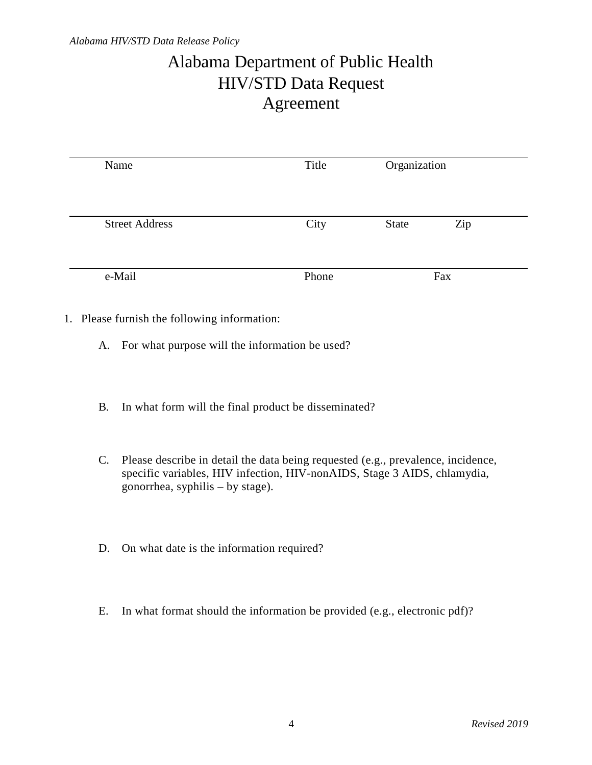## Alabama Department of Public Health HIV/STD Data Request Agreement

| Name                  | Title | Organization |     |
|-----------------------|-------|--------------|-----|
|                       |       |              |     |
| <b>Street Address</b> | City  | <b>State</b> | Zip |
| e-Mail                | Phone | Fax          |     |

- A. For what purpose will the information be used?
- B. In what form will the final product be disseminated?
- C. Please describe in detail the data being requested (e.g., prevalence, incidence, specific variables, HIV infection, HIV-nonAIDS, Stage 3 AIDS, chlamydia, gonorrhea, syphilis – by stage).
- D. On what date is the information required?
- E. In what format should the information be provided (e.g., electronic pdf)?